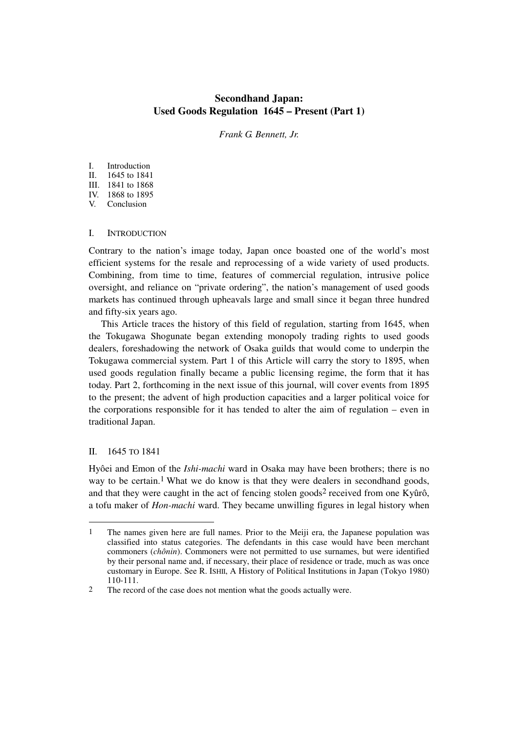# **Secondhand Japan: Used Goods Regulation 1645 – Present (Part 1)**

*Frank G. Bennett, Jr.* 

# I. Introduction<br>II. 1645 to 1841

- 1645 to 1841
- III. 1841 to 1868
- IV. 1868 to 1895
- V. Conclusion

# I. INTRODUCTION

Contrary to the nation's image today, Japan once boasted one of the world's most efficient systems for the resale and reprocessing of a wide variety of used products. Combining, from time to time, features of commercial regulation, intrusive police oversight, and reliance on "private ordering", the nation's management of used goods markets has continued through upheavals large and small since it began three hundred and fifty-six years ago.

This Article traces the history of this field of regulation, starting from 1645, when the Tokugawa Shogunate began extending monopoly trading rights to used goods dealers, foreshadowing the network of Osaka guilds that would come to underpin the Tokugawa commercial system. Part 1 of this Article will carry the story to 1895, when used goods regulation finally became a public licensing regime, the form that it has today. Part 2, forthcoming in the next issue of this journal, will cover events from 1895 to the present; the advent of high production capacities and a larger political voice for the corporations responsible for it has tended to alter the aim of regulation – even in traditional Japan.

# II. 1645 TO 1841

l

Hyôei and Emon of the *Ishi-machi* ward in Osaka may have been brothers; there is no way to be certain.<sup>1</sup> What we do know is that they were dealers in secondhand goods, and that they were caught in the act of fencing stolen goods<sup>2</sup> received from one Kyûrô, a tofu maker of *Hon-machi* ward. They became unwilling figures in legal history when

<sup>1</sup> The names given here are full names. Prior to the Meiji era, the Japanese population was classified into status categories. The defendants in this case would have been merchant commoners (*chônin*). Commoners were not permitted to use surnames, but were identified by their personal name and, if necessary, their place of residence or trade, much as was once customary in Europe. See R. ISHII, A History of Political Institutions in Japan (Tokyo 1980) 110-111.

<sup>2</sup> The record of the case does not mention what the goods actually were.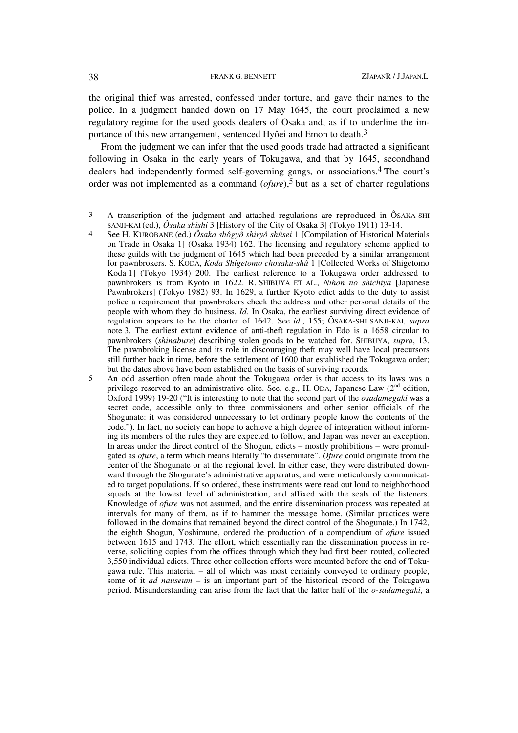the original thief was arrested, confessed under torture, and gave their names to the police. In a judgment handed down on 17 May 1645, the court proclaimed a new regulatory regime for the used goods dealers of Osaka and, as if to underline the importance of this new arrangement, sentenced Hyôei and Emon to death.<sup>3</sup>

From the judgment we can infer that the used goods trade had attracted a significant following in Osaka in the early years of Tokugawa, and that by 1645, secondhand dealers had independently formed self-governing gangs, or associations.4 The court's order was not implemented as a command (*ofure*),5 but as a set of charter regulations

<sup>3</sup> A transcription of the judgment and attached regulations are reproduced in ÔSAKA-SHI SANJI-KAI (ed.), *Ôsaka shishi* 3 [History of the City of Osaka 3] (Tokyo 1911) 13-14.

<sup>4</sup> See H. KUROBANE (ed.) *Ôsaka shôgyô shiryô shûsei* 1 [Compilation of Historical Materials on Trade in Osaka 1] (Osaka 1934) 162. The licensing and regulatory scheme applied to these guilds with the judgment of 1645 which had been preceded by a similar arrangement for pawnbrokers. S. KODA, *Koda Shigetomo chosaku-shû* 1 [Collected Works of Shigetomo Koda 1] (Tokyo 1934) 200. The earliest reference to a Tokugawa order addressed to pawnbrokers is from Kyoto in 1622. R. SHIBUYA ET AL., *Nihon no shichiya* [Japanese Pawnbrokers] (Tokyo 1982) 93. In 1629, a further Kyoto edict adds to the duty to assist police a requirement that pawnbrokers check the address and other personal details of the people with whom they do business. *Id*. In Osaka, the earliest surviving direct evidence of regulation appears to be the charter of 1642. See *id.*, 155; ÔSAKA-SHI SANJI-KAI, *supra* note 3. The earliest extant evidence of anti-theft regulation in Edo is a 1658 circular to pawnbrokers (*shinabure*) describing stolen goods to be watched for. SHIBUYA, *supra*, 13. The pawnbroking license and its role in discouraging theft may well have local precursors still further back in time, before the settlement of 1600 that established the Tokugawa order; but the dates above have been established on the basis of surviving records.

<sup>5</sup> An odd assertion often made about the Tokugawa order is that access to its laws was a privilege reserved to an administrative elite. See, e.g., H. ODA, Japanese Law  $(2^{nd}$  edition, Oxford 1999) 19-20 ("It is interesting to note that the second part of the *osadamegaki* was a secret code, accessible only to three commissioners and other senior officials of the Shogunate: it was considered unnecessary to let ordinary people know the contents of the code."). In fact, no society can hope to achieve a high degree of integration without informing its members of the rules they are expected to follow, and Japan was never an exception. In areas under the direct control of the Shogun, edicts – mostly prohibitions – were promulgated as *ofure*, a term which means literally "to disseminate". *Ofure* could originate from the center of the Shogunate or at the regional level. In either case, they were distributed downward through the Shogunate's administrative apparatus, and were meticulously communicated to target populations. If so ordered, these instruments were read out loud to neighborhood squads at the lowest level of administration, and affixed with the seals of the listeners. Knowledge of *ofure* was not assumed, and the entire dissemination process was repeated at intervals for many of them, as if to hammer the message home. (Similar practices were followed in the domains that remained beyond the direct control of the Shogunate.) In 1742, the eighth Shogun, Yoshimune, ordered the production of a compendium of *ofure* issued between 1615 and 1743. The effort, which essentially ran the dissemination process in reverse, soliciting copies from the offices through which they had first been routed, collected 3,550 individual edicts. Three other collection efforts were mounted before the end of Tokugawa rule. This material – all of which was most certainly conveyed to ordinary people, some of it *ad nauseum* – is an important part of the historical record of the Tokugawa period. Misunderstanding can arise from the fact that the latter half of the *o-sadamegaki*, a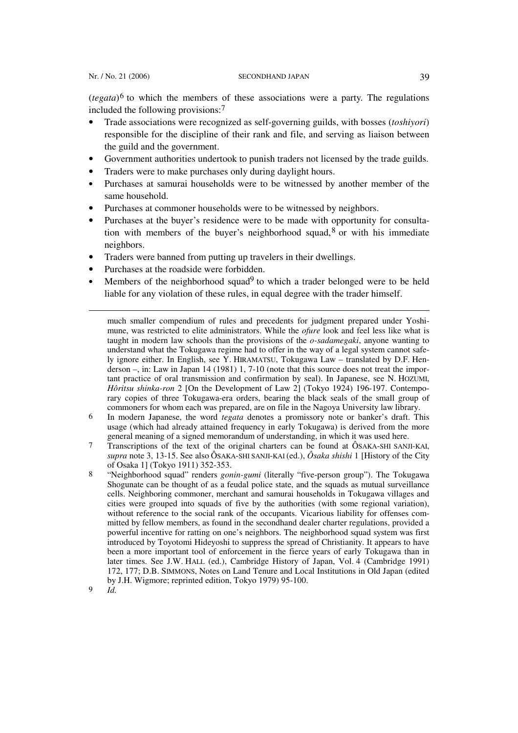(*tegata*) 6 to which the members of these associations were a party. The regulations included the following provisions:7

- Trade associations were recognized as self-governing guilds, with bosses (*toshiyori*) responsible for the discipline of their rank and file, and serving as liaison between the guild and the government.
- Government authorities undertook to punish traders not licensed by the trade guilds.
- Traders were to make purchases only during daylight hours.
- Purchases at samurai households were to be witnessed by another member of the same household.
- Purchases at commoner households were to be witnessed by neighbors.
- Purchases at the buyer's residence were to be made with opportunity for consultation with members of the buyer's neighborhood squad,  $8$  or with his immediate neighbors.
- Traders were banned from putting up travelers in their dwellings.
- Purchases at the roadside were forbidden.
- Members of the neighborhood squad<sup>9</sup> to which a trader belonged were to be held liable for any violation of these rules, in equal degree with the trader himself.

much smaller compendium of rules and precedents for judgment prepared under Yoshimune, was restricted to elite administrators. While the *ofure* look and feel less like what is taught in modern law schools than the provisions of the *o-sadamegaki*, anyone wanting to understand what the Tokugawa regime had to offer in the way of a legal system cannot safely ignore either. In English, see Y. HIRAMATSU, Tokugawa Law – translated by D.F. Henderson –, in: Law in Japan 14 (1981) 1, 7-10 (note that this source does not treat the important practice of oral transmission and confirmation by seal). In Japanese, see N. HOZUMI, *Hôritsu shinka-ron* 2 [On the Development of Law 2] (Tokyo 1924) 196-197. Contemporary copies of three Tokugawa-era orders, bearing the black seals of the small group of commoners for whom each was prepared, are on file in the Nagoya University law library.

- 6 In modern Japanese, the word *tegata* denotes a promissory note or banker's draft. This usage (which had already attained frequency in early Tokugawa) is derived from the more general meaning of a signed memorandum of understanding, in which it was used here.
- 7 Transcriptions of the text of the original charters can be found at ÔSAKA-SHI SANJI-KAI, *supra* note 3, 13-15. See also ÔSAKA-SHI SANJI-KAI (ed.), *Ôsaka shishi* 1 [History of the City of Osaka 1] (Tokyo 1911) 352-353.
- 8 "Neighborhood squad" renders *gonin-gumi* (literally "five-person group"). The Tokugawa Shogunate can be thought of as a feudal police state, and the squads as mutual surveillance cells. Neighboring commoner, merchant and samurai households in Tokugawa villages and cities were grouped into squads of five by the authorities (with some regional variation), without reference to the social rank of the occupants. Vicarious liability for offenses committed by fellow members, as found in the secondhand dealer charter regulations, provided a powerful incentive for ratting on one's neighbors. The neighborhood squad system was first introduced by Toyotomi Hideyoshi to suppress the spread of Christianity. It appears to have been a more important tool of enforcement in the fierce years of early Tokugawa than in later times. See J.W. HALL (ed.), Cambridge History of Japan, Vol. 4 (Cambridge 1991) 172, 177; D.B. SIMMONS, Notes on Land Tenure and Local Institutions in Old Japan (edited by J.H. Wigmore; reprinted edition, Tokyo 1979) 95-100.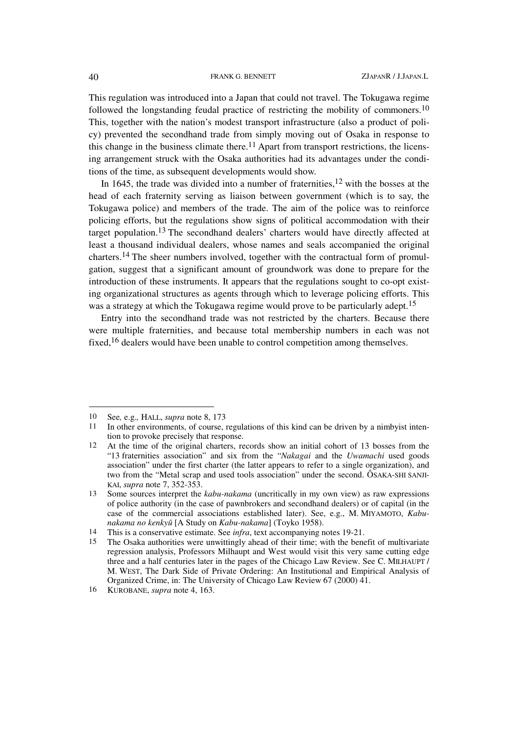This regulation was introduced into a Japan that could not travel. The Tokugawa regime followed the longstanding feudal practice of restricting the mobility of commoners.10 This, together with the nation's modest transport infrastructure (also a product of policy) prevented the secondhand trade from simply moving out of Osaka in response to this change in the business climate there.<sup>11</sup> Apart from transport restrictions, the licensing arrangement struck with the Osaka authorities had its advantages under the conditions of the time, as subsequent developments would show.

In 1645, the trade was divided into a number of fraternities, $12$  with the bosses at the head of each fraternity serving as liaison between government (which is to say, the Tokugawa police) and members of the trade. The aim of the police was to reinforce policing efforts, but the regulations show signs of political accommodation with their target population.13 The secondhand dealers' charters would have directly affected at least a thousand individual dealers, whose names and seals accompanied the original charters.14 The sheer numbers involved, together with the contractual form of promulgation, suggest that a significant amount of groundwork was done to prepare for the introduction of these instruments. It appears that the regulations sought to co-opt existing organizational structures as agents through which to leverage policing efforts. This was a strategy at which the Tokugawa regime would prove to be particularly adept.<sup>15</sup>

Entry into the secondhand trade was not restricted by the charters. Because there were multiple fraternities, and because total membership numbers in each was not fixed,16 dealers would have been unable to control competition among themselves.

 $\overline{\phantom{a}}$ 

<sup>10</sup> See*,* e.g.*,* HALL, *supra* note 8, 173

<sup>11</sup> In other environments, of course, regulations of this kind can be driven by a nimbyist intention to provoke precisely that response.

<sup>12</sup> At the time of the original charters, records show an initial cohort of 13 bosses from the "13 fraternities association" and six from the "*Nakagai* and the *Uwamachi* used goods association" under the first charter (the latter appears to refer to a single organization), and two from the "Metal scrap and used tools association" under the second. ÔSAKA-SHI SANJI-KAI, *supra* note 7, 352-353.

<sup>13</sup> Some sources interpret the *kabu-nakama* (uncritically in my own view) as raw expressions of police authority (in the case of pawnbrokers and secondhand dealers) or of capital (in the case of the commercial associations established later). See, e.g., M. MIYAMOTO, *Kabunakama no kenkyû* [A Study on *Kabu-nakama*] (Toyko 1958).

<sup>14</sup> This is a conservative estimate. See *infra*, text accompanying notes 19-21.

<sup>15</sup> The Osaka authorities were unwittingly ahead of their time; with the benefit of multivariate regression analysis, Professors Milhaupt and West would visit this very same cutting edge three and a half centuries later in the pages of the Chicago Law Review. See C. MILHAUPT / M. WEST, The Dark Side of Private Ordering: An Institutional and Empirical Analysis of Organized Crime, in: The University of Chicago Law Review 67 (2000) 41.

<sup>16</sup> KUROBANE, *supra* note 4, 163.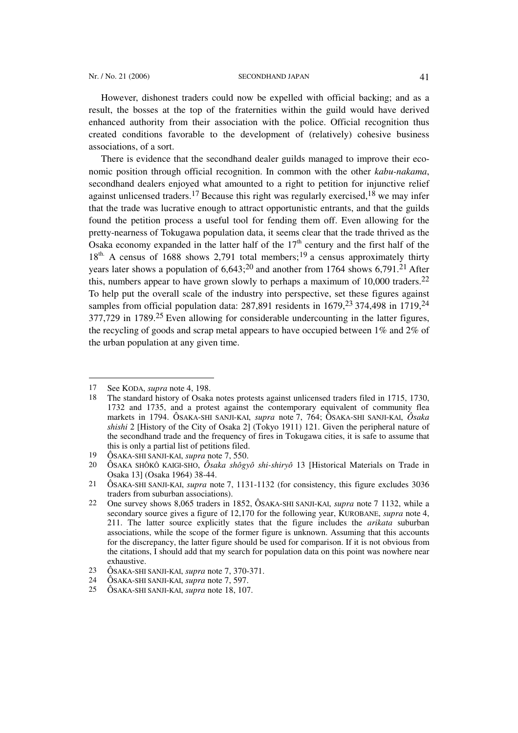However, dishonest traders could now be expelled with official backing; and as a result, the bosses at the top of the fraternities within the guild would have derived enhanced authority from their association with the police. Official recognition thus created conditions favorable to the development of (relatively) cohesive business associations, of a sort.

There is evidence that the secondhand dealer guilds managed to improve their economic position through official recognition. In common with the other *kabu-nakama*, secondhand dealers enjoyed what amounted to a right to petition for injunctive relief against unlicensed traders.<sup>17</sup> Because this right was regularly exercised,<sup>18</sup> we may infer that the trade was lucrative enough to attract opportunistic entrants, and that the guilds found the petition process a useful tool for fending them off. Even allowing for the pretty-nearness of Tokugawa population data, it seems clear that the trade thrived as the Osaka economy expanded in the latter half of the  $17<sup>th</sup>$  century and the first half of the  $18<sup>th</sup>$ . A census of 1688 shows 2,791 total members;<sup>19</sup> a census approximately thirty years later shows a population of  $6,643;^{20}$  and another from 1764 shows  $6,791.^{21}$  After this, numbers appear to have grown slowly to perhaps a maximum of  $10,000$  traders.<sup>22</sup> To help put the overall scale of the industry into perspective, set these figures against samples from official population data:  $287,891$  residents in  $1679,23374,498$  in  $1719,24$ 377,729 in 1789.25 Even allowing for considerable undercounting in the latter figures, the recycling of goods and scrap metal appears to have occupied between 1% and 2% of the urban population at any given time.

<sup>17</sup> See KODA, *supra* note 4, 198.

<sup>18</sup> The standard history of Osaka notes protests against unlicensed traders filed in 1715, 1730, 1732 and 1735, and a protest against the contemporary equivalent of community flea markets in 1794. ÔSAKA-SHI SANJI-KAI, *supra* note 7, 764; ÔSAKA-SHI SANJI-KAI, *Ôsaka shishi* 2 [History of the City of Osaka 2] (Tokyo 1911) 121. Given the peripheral nature of the secondhand trade and the frequency of fires in Tokugawa cities, it is safe to assume that this is only a partial list of petitions filed.

<sup>19</sup> ÔSAKA-SHI SANJI-KAI, *supra* note 7, 550.

<sup>20</sup> ÔSAKA SHÔKÔ KAIGI-SHO, *Ôsaka shôgyô shi-shiryô* 13 [Historical Materials on Trade in Osaka 13] (Osaka 1964) 38-44.

<sup>21</sup> ÔSAKA-SHI SANJI-KAI, *supra* note 7, 1131-1132 (for consistency, this figure excludes 3036 traders from suburban associations).

<sup>22</sup> One survey shows 8,065 traders in 1852, ÔSAKA-SHI SANJI-KAI, *supra* note 7 1132, while a secondary source gives a figure of 12,170 for the following year, KUROBANE, *supra* note 4, 211. The latter source explicitly states that the figure includes the *arikata* suburban associations, while the scope of the former figure is unknown. Assuming that this accounts for the discrepancy, the latter figure should be used for comparison. If it is not obvious from the citations, I should add that my search for population data on this point was nowhere near exhaustive.

<sup>23</sup> ÔSAKA-SHI SANJI-KAI, *supra* note 7, 370-371.

<sup>24</sup> ÔSAKA-SHI SANJI-KAI, *supra* note 7, 597.

<sup>25</sup> ÔSAKA-SHI SANJI-KAI, *supra* note 18, 107.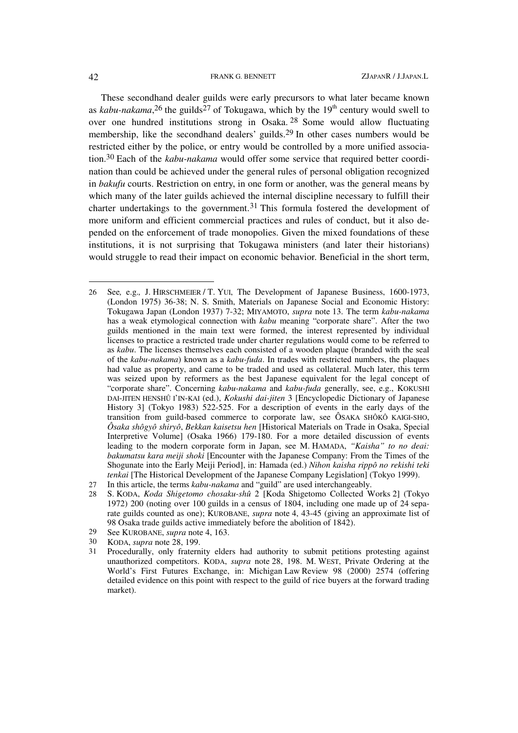These secondhand dealer guilds were early precursors to what later became known as *kabu-nakama*,<sup>26</sup> the guilds<sup>27</sup> of Tokugawa, which by the 19<sup>th</sup> century would swell to over one hundred institutions strong in Osaka. 28 Some would allow fluctuating membership, like the secondhand dealers' guilds.29 In other cases numbers would be restricted either by the police, or entry would be controlled by a more unified association.30 Each of the *kabu-nakama* would offer some service that required better coordination than could be achieved under the general rules of personal obligation recognized in *bakufu* courts. Restriction on entry, in one form or another, was the general means by which many of the later guilds achieved the internal discipline necessary to fulfill their charter undertakings to the government.<sup>31</sup> This formula fostered the development of more uniform and efficient commercial practices and rules of conduct, but it also depended on the enforcement of trade monopolies. Given the mixed foundations of these institutions, it is not surprising that Tokugawa ministers (and later their historians) would struggle to read their impact on economic behavior. Beneficial in the short term,

29 See KUROBANE, *supra* note 4, 163.

<sup>26</sup> See*,* e.g.*,* J. HIRSCHMEIER / T. YUI, The Development of Japanese Business, 1600-1973, (London 1975) 36-38; N. S. Smith, Materials on Japanese Social and Economic History: Tokugawa Japan (London 1937) 7-32; MIYAMOTO, *supra* note 13. The term *kabu-nakama* has a weak etymological connection with *kabu* meaning "corporate share". After the two guilds mentioned in the main text were formed, the interest represented by individual licenses to practice a restricted trade under charter regulations would come to be referred to as *kabu*. The licenses themselves each consisted of a wooden plaque (branded with the seal of the *kabu-nakama*) known as a *kabu-fuda*. In trades with restricted numbers, the plaques had value as property, and came to be traded and used as collateral. Much later, this term was seized upon by reformers as the best Japanese equivalent for the legal concept of "corporate share". Concerning *kabu-nakama* and *kabu-fuda* generally, see, e.g., KOKUSHI DAI-JITEN HENSHÛ I'IN-KAI (ed.), *Kokushi dai-jiten* 3 [Encyclopedic Dictionary of Japanese History 3] (Tokyo 1983) 522-525. For a description of events in the early days of the transition from guild-based commerce to corporate law, see ÔSAKA SHÔKÔ KAIGI-SHO, *Ôsaka shôgyô shiryô*, *Bekkan kaisetsu hen* [Historical Materials on Trade in Osaka, Special Interpretive Volume] (Osaka 1966) 179-180. For a more detailed discussion of events leading to the modern corporate form in Japan, see M. HAMADA, *"Kaisha" to no deai: bakumatsu kara meiji shoki* [Encounter with the Japanese Company: From the Times of the Shogunate into the Early Meiji Period], in: Hamada (ed.) *Nihon kaisha rippô no rekishi teki tenkai* [The Historical Development of the Japanese Company Legislation] (Tokyo 1999).

<sup>27</sup> In this article, the terms *kabu-nakama* and "guild" are used interchangeably.

<sup>28</sup> S. KODA, *Koda Shigetomo chosaku-shû* 2 [Koda Shigetomo Collected Works 2] (Tokyo 1972) 200 (noting over 100 guilds in a census of 1804, including one made up of 24 separate guilds counted as one); KUROBANE, *supra* note 4, 43-45 (giving an approximate list of 98 Osaka trade guilds active immediately before the abolition of 1842).

<sup>30</sup> KODA, *supra* note 28, 199.

<sup>31</sup> Procedurally, only fraternity elders had authority to submit petitions protesting against unauthorized competitors. KODA, *supra* note 28, 198. M. WEST, Private Ordering at the World's First Futures Exchange, in: Michigan Law Review 98 (2000) 2574 (offering detailed evidence on this point with respect to the guild of rice buyers at the forward trading market).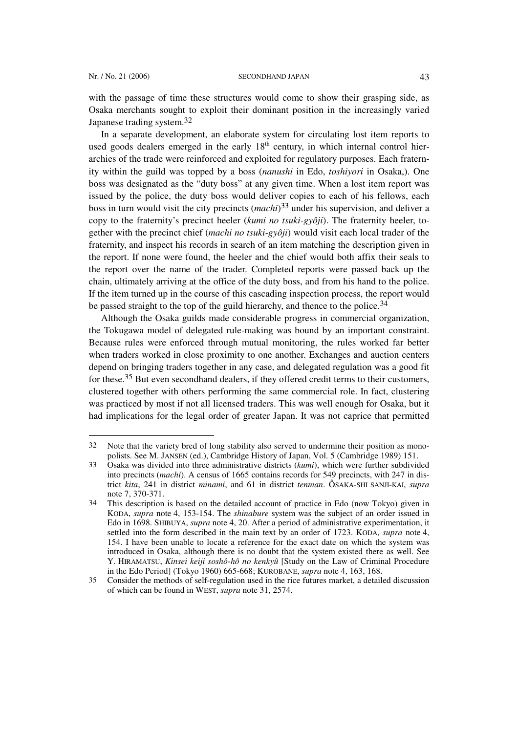l

with the passage of time these structures would come to show their grasping side, as Osaka merchants sought to exploit their dominant position in the increasingly varied Japanese trading system.32

In a separate development, an elaborate system for circulating lost item reports to used goods dealers emerged in the early  $18<sup>th</sup>$  century, in which internal control hierarchies of the trade were reinforced and exploited for regulatory purposes. Each fraternity within the guild was topped by a boss (*nanushi* in Edo, *toshiyori* in Osaka,). One boss was designated as the "duty boss" at any given time. When a lost item report was issued by the police, the duty boss would deliver copies to each of his fellows, each boss in turn would visit the city precincts (*machi*) 33 under his supervision, and deliver a copy to the fraternity's precinct heeler (*kumi no tsuki-gyôji*). The fraternity heeler, together with the precinct chief (*machi no tsuki-gyôji*) would visit each local trader of the fraternity, and inspect his records in search of an item matching the description given in the report. If none were found, the heeler and the chief would both affix their seals to the report over the name of the trader. Completed reports were passed back up the chain, ultimately arriving at the office of the duty boss, and from his hand to the police. If the item turned up in the course of this cascading inspection process, the report would be passed straight to the top of the guild hierarchy, and thence to the police.<sup>34</sup>

Although the Osaka guilds made considerable progress in commercial organization, the Tokugawa model of delegated rule-making was bound by an important constraint. Because rules were enforced through mutual monitoring, the rules worked far better when traders worked in close proximity to one another. Exchanges and auction centers depend on bringing traders together in any case, and delegated regulation was a good fit for these.35 But even secondhand dealers, if they offered credit terms to their customers, clustered together with others performing the same commercial role. In fact, clustering was practiced by most if not all licensed traders. This was well enough for Osaka, but it had implications for the legal order of greater Japan. It was not caprice that permitted

<sup>32</sup> Note that the variety bred of long stability also served to undermine their position as monopolists. See M. JANSEN (ed.), Cambridge History of Japan, Vol. 5 (Cambridge 1989) 151.

<sup>33</sup> Osaka was divided into three administrative districts (*kumi*), which were further subdivided into precincts (*machi*). A census of 1665 contains records for 549 precincts, with 247 in district *kita*, 241 in district *minami*, and 61 in district *tenman*. ÔSAKA-SHI SANJI-KAI, *supra* note 7, 370-371.

<sup>34</sup> This description is based on the detailed account of practice in Edo (now Tokyo) given in KODA, *supra* note 4, 153-154. The *shinabure* system was the subject of an order issued in Edo in 1698. SHIBUYA, *supra* note 4, 20. After a period of administrative experimentation, it settled into the form described in the main text by an order of 1723. KODA, *supra* note 4, 154. I have been unable to locate a reference for the exact date on which the system was introduced in Osaka, although there is no doubt that the system existed there as well. See Y. HIRAMATSU, *Kinsei keiji soshô-hô no kenkyû* [Study on the Law of Criminal Procedure in the Edo Period] (Tokyo 1960) 665-668; KUROBANE, *supra* note 4, 163, 168.

<sup>35</sup> Consider the methods of self-regulation used in the rice futures market, a detailed discussion of which can be found in WEST, *supra* note 31, 2574.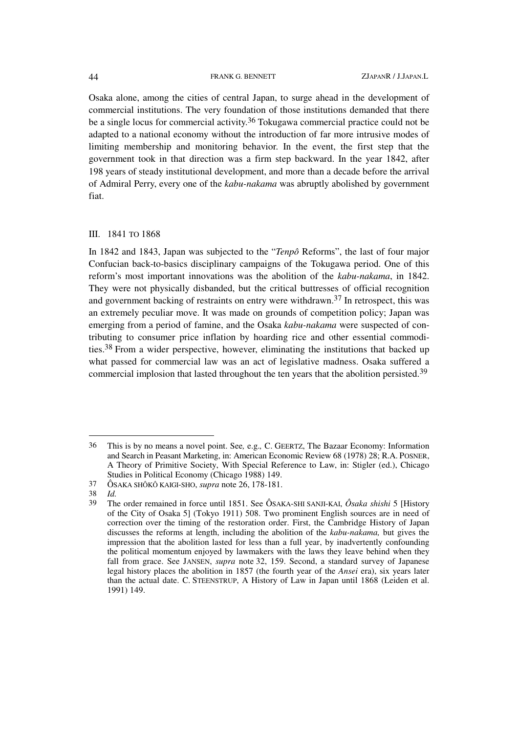Osaka alone, among the cities of central Japan, to surge ahead in the development of commercial institutions. The very foundation of those institutions demanded that there be a single locus for commercial activity.<sup>36</sup> Tokugawa commercial practice could not be adapted to a national economy without the introduction of far more intrusive modes of limiting membership and monitoring behavior. In the event, the first step that the government took in that direction was a firm step backward. In the year 1842, after 198 years of steady institutional development, and more than a decade before the arrival of Admiral Perry, every one of the *kabu-nakama* was abruptly abolished by government fiat.

### III. 1841 TO 1868

In 1842 and 1843, Japan was subjected to the "*Tenpô* Reforms", the last of four major Confucian back-to-basics disciplinary campaigns of the Tokugawa period. One of this reform's most important innovations was the abolition of the *kabu-nakama*, in 1842. They were not physically disbanded, but the critical buttresses of official recognition and government backing of restraints on entry were withdrawn.<sup>37</sup> In retrospect, this was an extremely peculiar move. It was made on grounds of competition policy; Japan was emerging from a period of famine, and the Osaka *kabu-nakama* were suspected of contributing to consumer price inflation by hoarding rice and other essential commodities.38 From a wider perspective, however, eliminating the institutions that backed up what passed for commercial law was an act of legislative madness. Osaka suffered a commercial implosion that lasted throughout the ten years that the abolition persisted.39

<sup>36</sup> This is by no means a novel point. See*,* e.g.*,* C. GEERTZ, The Bazaar Economy: Information and Search in Peasant Marketing, in: American Economic Review 68 (1978) 28; R.A. POSNER, A Theory of Primitive Society, With Special Reference to Law, in: Stigler (ed.), Chicago Studies in Political Economy (Chicago 1988) 149.

<sup>37</sup> ÔSAKA SHÔKÔ KAIGI-SHO, *supra* note 26, 178-181.

*Id.* 

<sup>39</sup> The order remained in force until 1851. See ÔSAKA-SHI SANJI-KAI, *Ôsaka shishi* 5 [History of the City of Osaka 5] (Tokyo 1911) 508. Two prominent English sources are in need of correction over the timing of the restoration order. First, the Cambridge History of Japan discusses the reforms at length, including the abolition of the *kabu-nakama,* but gives the impression that the abolition lasted for less than a full year, by inadvertently confounding the political momentum enjoyed by lawmakers with the laws they leave behind when they fall from grace. See JANSEN, *supra* note 32, 159. Second, a standard survey of Japanese legal history places the abolition in 1857 (the fourth year of the *Ansei* era), six years later than the actual date. C. STEENSTRUP, A History of Law in Japan until 1868 (Leiden et al. 1991) 149.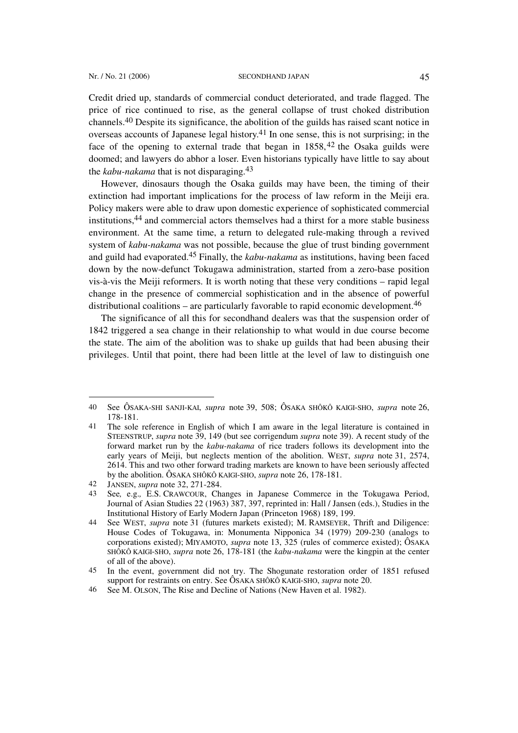Credit dried up, standards of commercial conduct deteriorated, and trade flagged. The price of rice continued to rise, as the general collapse of trust choked distribution channels.40 Despite its significance, the abolition of the guilds has raised scant notice in overseas accounts of Japanese legal history.41 In one sense, this is not surprising; in the face of the opening to external trade that began in  $1858$ ,  $42$  the Osaka guilds were doomed; and lawyers do abhor a loser. Even historians typically have little to say about the *kabu-nakama* that is not disparaging.43

However, dinosaurs though the Osaka guilds may have been, the timing of their extinction had important implications for the process of law reform in the Meiji era. Policy makers were able to draw upon domestic experience of sophisticated commercial institutions,44 and commercial actors themselves had a thirst for a more stable business environment. At the same time, a return to delegated rule-making through a revived system of *kabu-nakama* was not possible, because the glue of trust binding government and guild had evaporated.45 Finally, the *kabu-nakama* as institutions, having been faced down by the now-defunct Tokugawa administration, started from a zero-base position vis-à-vis the Meiji reformers. It is worth noting that these very conditions – rapid legal change in the presence of commercial sophistication and in the absence of powerful distributional coalitions – are particularly favorable to rapid economic development.<sup>46</sup>

The significance of all this for secondhand dealers was that the suspension order of 1842 triggered a sea change in their relationship to what would in due course become the state. The aim of the abolition was to shake up guilds that had been abusing their privileges. Until that point, there had been little at the level of law to distinguish one

<sup>40</sup> See ÔSAKA-SHI SANJI-KAI, *supra* note 39, 508; ÔSAKA SHÔKÔ KAIGI-SHO, *supra* note 26, 178-181.

<sup>41</sup> The sole reference in English of which I am aware in the legal literature is contained in STEENSTRUP, *supra* note 39, 149 (but see corrigendum *supra* note 39). A recent study of the forward market run by the *kabu-nakama* of rice traders follows its development into the early years of Meiji, but neglects mention of the abolition. WEST, *supra* note 31, 2574, 2614. This and two other forward trading markets are known to have been seriously affected by the abolition. ÔSAKA SHÔKÔ KAIGI-SHO, *supra* note 26, 178-181.

<sup>42</sup> JANSEN, *supra* note 32, 271-284.

<sup>43</sup> See*,* e.g.*,* E.S. CRAWCOUR, Changes in Japanese Commerce in the Tokugawa Period, Journal of Asian Studies 22 (1963) 387, 397, reprinted in: Hall / Jansen (eds.), Studies in the Institutional History of Early Modern Japan (Princeton 1968) 189, 199.

<sup>44</sup> See WEST, *supra* note 31 (futures markets existed); M. RAMSEYER, Thrift and Diligence: House Codes of Tokugawa, in: Monumenta Nipponica 34 (1979) 209-230 (analogs to corporations existed); MIYAMOTO, *supra* note 13, 325 (rules of commerce existed); ÔSAKA SHÔKÔ KAIGI-SHO, *supra* note 26, 178-181 (the *kabu-nakama* were the kingpin at the center of all of the above).

<sup>45</sup> In the event, government did not try. The Shogunate restoration order of 1851 refused support for restraints on entry. See ÔSAKA SHÔKÔ KAIGI-SHO, *supra* note 20.

<sup>46</sup> See M. OLSON, The Rise and Decline of Nations (New Haven et al. 1982).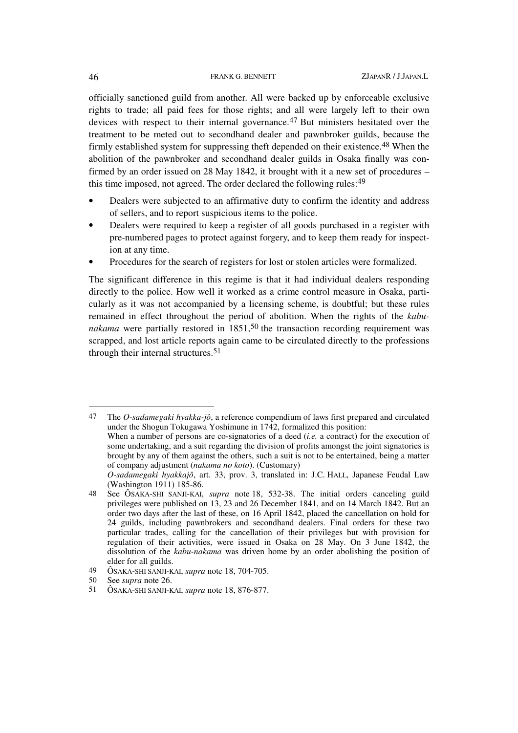officially sanctioned guild from another. All were backed up by enforceable exclusive rights to trade; all paid fees for those rights; and all were largely left to their own devices with respect to their internal governance.47 But ministers hesitated over the treatment to be meted out to secondhand dealer and pawnbroker guilds, because the firmly established system for suppressing theft depended on their existence.48 When the abolition of the pawnbroker and secondhand dealer guilds in Osaka finally was confirmed by an order issued on 28 May 1842, it brought with it a new set of procedures – this time imposed, not agreed. The order declared the following rules:49

- Dealers were subjected to an affirmative duty to confirm the identity and address of sellers, and to report suspicious items to the police.
- Dealers were required to keep a register of all goods purchased in a register with pre-numbered pages to protect against forgery, and to keep them ready for inspection at any time.
- Procedures for the search of registers for lost or stolen articles were formalized.

The significant difference in this regime is that it had individual dealers responding directly to the police. How well it worked as a crime control measure in Osaka, particularly as it was not accompanied by a licensing scheme, is doubtful; but these rules remained in effect throughout the period of abolition. When the rights of the *kabunakama* were partially restored in  $1851$ ,<sup>50</sup> the transaction recording requirement was scrapped, and lost article reports again came to be circulated directly to the professions through their internal structures.<sup>51</sup>

47 The *O-sadamegaki hyakka-jô*, a reference compendium of laws first prepared and circulated under the Shogun Tokugawa Yoshimune in 1742, formalized this position: When a number of persons are co-signatories of a deed (*i.e.* a contract) for the execution of

 $\overline{\phantom{a}}$ 

some undertaking, and a suit regarding the division of profits amongst the joint signatories is brought by any of them against the others, such a suit is not to be entertained, being a matter of company adjustment (*nakama no koto*). (Customary)

*O-sadamegaki hyakkajô*, art. 33, prov. 3, translated in: J.C. HALL, Japanese Feudal Law (Washington 1911) 185-86.

<sup>48</sup> See ÔSAKA-SHI SANJI-KAI, *supra* note 18, 532-38. The initial orders canceling guild privileges were published on 13, 23 and 26 December 1841, and on 14 March 1842. But an order two days after the last of these, on 16 April 1842, placed the cancellation on hold for 24 guilds, including pawnbrokers and secondhand dealers. Final orders for these two particular trades, calling for the cancellation of their privileges but with provision for regulation of their activities, were issued in Osaka on 28 May. On 3 June 1842, the dissolution of the *kabu-nakama* was driven home by an order abolishing the position of elder for all guilds.

<sup>49</sup> ÔSAKA-SHI SANJI-KAI, *supra* note 18, 704-705.

<sup>50</sup> See *supra* note 26.

<sup>51</sup> ÔSAKA-SHI SANJI-KAI, *supra* note 18, 876-877.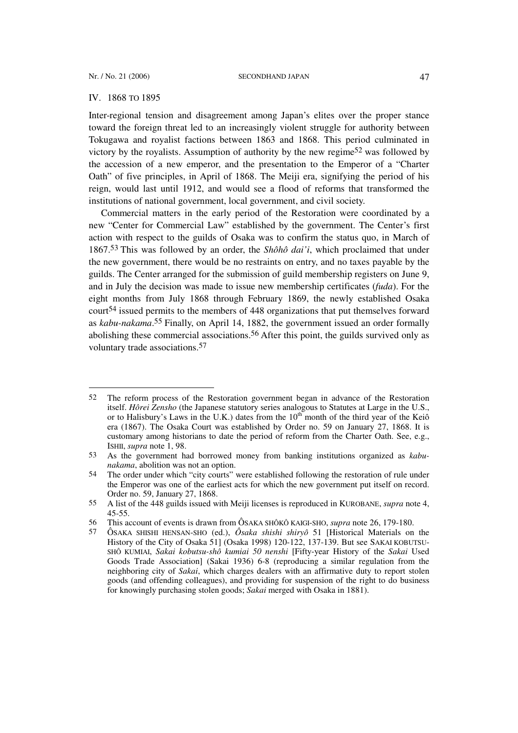l

### IV. 1868 TO 1895

Inter-regional tension and disagreement among Japan's elites over the proper stance toward the foreign threat led to an increasingly violent struggle for authority between Tokugawa and royalist factions between 1863 and 1868. This period culminated in victory by the royalists. Assumption of authority by the new regime<sup>52</sup> was followed by the accession of a new emperor, and the presentation to the Emperor of a "Charter Oath" of five principles, in April of 1868. The Meiji era, signifying the period of his reign, would last until 1912, and would see a flood of reforms that transformed the institutions of national government, local government, and civil society.

Commercial matters in the early period of the Restoration were coordinated by a new "Center for Commercial Law" established by the government. The Center's first action with respect to the guilds of Osaka was to confirm the status quo, in March of 1867.53 This was followed by an order, the *Shôhô dai'i*, which proclaimed that under the new government, there would be no restraints on entry, and no taxes payable by the guilds. The Center arranged for the submission of guild membership registers on June 9, and in July the decision was made to issue new membership certificates (*fuda*). For the eight months from July 1868 through February 1869, the newly established Osaka court<sup>54</sup> issued permits to the members of 448 organizations that put themselves forward as *kabu-nakama*. 55 Finally, on April 14, 1882, the government issued an order formally abolishing these commercial associations.<sup>56</sup> After this point, the guilds survived only as voluntary trade associations.57

<sup>52</sup> The reform process of the Restoration government began in advance of the Restoration itself. *Hôrei Zensho* (the Japanese statutory series analogous to Statutes at Large in the U.S., or to Halisbury's Laws in the U.K.) dates from the  $10^{th}$  month of the third year of the Keiô era (1867). The Osaka Court was established by Order no. 59 on January 27, 1868. It is customary among historians to date the period of reform from the Charter Oath. See, e.g., ISHII, *supra* note 1, 98.

<sup>53</sup> As the government had borrowed money from banking institutions organized as *kabunakama*, abolition was not an option.

<sup>54</sup> The order under which "city courts" were established following the restoration of rule under the Emperor was one of the earliest acts for which the new government put itself on record. Order no. 59, January 27, 1868.

<sup>55</sup> A list of the 448 guilds issued with Meiji licenses is reproduced in KUROBANE, *supra* note 4, 45-55.

<sup>56</sup> This account of events is drawn from ÔSAKA SHÔKÔ KAIGI-SHO, *supra* note 26, 179-180.

<sup>57</sup> ÔSAKA SHISHI HENSAN-SHO (ed.), *Ôsaka shishi shiryô* 51 [Historical Materials on the History of the City of Osaka 51] (Osaka 1998) 120-122, 137-139. But see SAKAI KOBUTSU-SHÔ KUMIAI, *Sakai kobutsu-shô kumiai 50 nenshi* [Fifty-year History of the *Sakai* Used Goods Trade Association] (Sakai 1936) 6-8 (reproducing a similar regulation from the neighboring city of *Sakai*, which charges dealers with an affirmative duty to report stolen goods (and offending colleagues), and providing for suspension of the right to do business for knowingly purchasing stolen goods; *Sakai* merged with Osaka in 1881).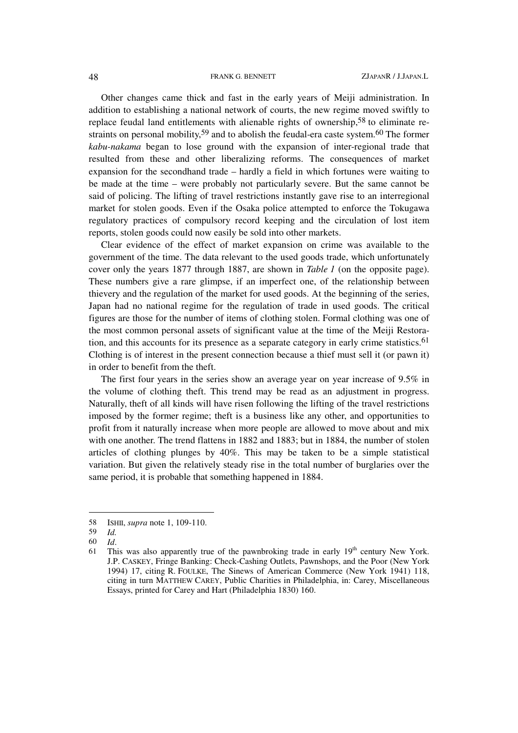Other changes came thick and fast in the early years of Meiji administration. In addition to establishing a national network of courts, the new regime moved swiftly to replace feudal land entitlements with alienable rights of ownership,58 to eliminate restraints on personal mobility,<sup>59</sup> and to abolish the feudal-era caste system.<sup>60</sup> The former *kabu-nakama* began to lose ground with the expansion of inter-regional trade that resulted from these and other liberalizing reforms. The consequences of market expansion for the secondhand trade – hardly a field in which fortunes were waiting to be made at the time – were probably not particularly severe. But the same cannot be said of policing. The lifting of travel restrictions instantly gave rise to an interregional market for stolen goods. Even if the Osaka police attempted to enforce the Tokugawa regulatory practices of compulsory record keeping and the circulation of lost item reports, stolen goods could now easily be sold into other markets.

Clear evidence of the effect of market expansion on crime was available to the government of the time. The data relevant to the used goods trade, which unfortunately cover only the years 1877 through 1887, are shown in *Table 1* (on the opposite page). These numbers give a rare glimpse, if an imperfect one, of the relationship between thievery and the regulation of the market for used goods. At the beginning of the series, Japan had no national regime for the regulation of trade in used goods. The critical figures are those for the number of items of clothing stolen. Formal clothing was one of the most common personal assets of significant value at the time of the Meiji Restoration, and this accounts for its presence as a separate category in early crime statistics.<sup>61</sup> Clothing is of interest in the present connection because a thief must sell it (or pawn it) in order to benefit from the theft.

The first four years in the series show an average year on year increase of 9.5% in the volume of clothing theft. This trend may be read as an adjustment in progress. Naturally, theft of all kinds will have risen following the lifting of the travel restrictions imposed by the former regime; theft is a business like any other, and opportunities to profit from it naturally increase when more people are allowed to move about and mix with one another. The trend flattens in 1882 and 1883; but in 1884, the number of stolen articles of clothing plunges by 40%. This may be taken to be a simple statistical variation. But given the relatively steady rise in the total number of burglaries over the same period, it is probable that something happened in 1884.

<sup>58</sup> ISHII, *supra* note 1, 109-110.

<sup>59</sup> *Id.* 

<sup>60</sup> *Id*.

<sup>61</sup> This was also apparently true of the pawnbroking trade in early  $19<sup>th</sup>$  century New York. J.P. CASKEY, Fringe Banking: Check-Cashing Outlets, Pawnshops, and the Poor (New York 1994) 17, citing R. FOULKE, The Sinews of American Commerce (New York 1941) 118, citing in turn MATTHEW CAREY, Public Charities in Philadelphia, in: Carey, Miscellaneous Essays, printed for Carey and Hart (Philadelphia 1830) 160.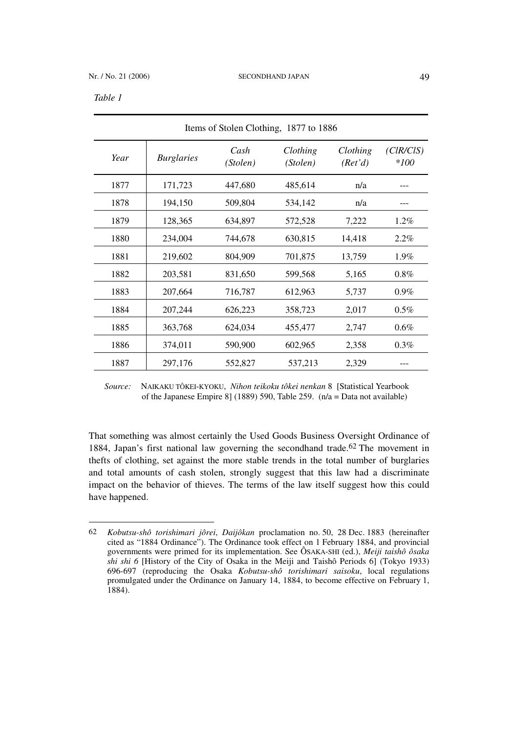l

| Items of Stolen Clothing, 1877 to 1886 |                   |                  |                      |                     |                     |
|----------------------------------------|-------------------|------------------|----------------------|---------------------|---------------------|
| Year                                   | <b>Burglaries</b> | Cash<br>(Stolen) | Clothing<br>(Stolen) | Clothing<br>(Ret'd) | (ClR/CIS)<br>$*100$ |
| 1877                                   | 171,723           | 447,680          | 485,614              | n/a                 |                     |
| 1878                                   | 194,150           | 509,804          | 534,142              | n/a                 |                     |
| 1879                                   | 128,365           | 634,897          | 572,528              | 7,222               | $1.2\%$             |
| 1880                                   | 234,004           | 744,678          | 630,815              | 14,418              | 2.2%                |
| 1881                                   | 219,602           | 804,909          | 701,875              | 13,759              | $1.9\%$             |
| 1882                                   | 203,581           | 831,650          | 599,568              | 5,165               | 0.8%                |
| 1883                                   | 207,664           | 716,787          | 612,963              | 5,737               | $0.9\%$             |
| 1884                                   | 207,244           | 626,223          | 358,723              | 2,017               | $0.5\%$             |
| 1885                                   | 363,768           | 624,034          | 455,477              | 2,747               | $0.6\%$             |
| 1886                                   | 374,011           | 590,900          | 602,965              | 2,358               | $0.3\%$             |
| 1887                                   | 297,176           | 552,827          | 537,213              | 2,329               |                     |

*Source:* NAIKAKU TÔKEI-KYOKU, *Nihon teikoku tôkei nenkan* 8 [Statistical Yearbook of the Japanese Empire 8] (1889) 590, Table 259. (n/a = Data not available)

That something was almost certainly the Used Goods Business Oversight Ordinance of 1884, Japan's first national law governing the secondhand trade.<sup>62</sup> The movement in thefts of clothing, set against the more stable trends in the total number of burglaries and total amounts of cash stolen, strongly suggest that this law had a discriminate impact on the behavior of thieves. The terms of the law itself suggest how this could have happened.

<sup>62</sup> *Kobutsu-shô torishimari jôrei*, *Daijôkan* proclamation no. 50, 28 Dec. 1883 (hereinafter cited as "1884 Ordinance"). The Ordinance took effect on 1 February 1884, and provincial governments were primed for its implementation. See ÔSAKA-SHI (ed.), *Meiji taishô ôsaka shi shi 6* [History of the City of Osaka in the Meiji and Taishô Periods 6] (Tokyo 1933) 696-697 (reproducing the Osaka *Kobutsu-shô torishimari saisoku*, local regulations promulgated under the Ordinance on January 14, 1884, to become effective on February 1, 1884).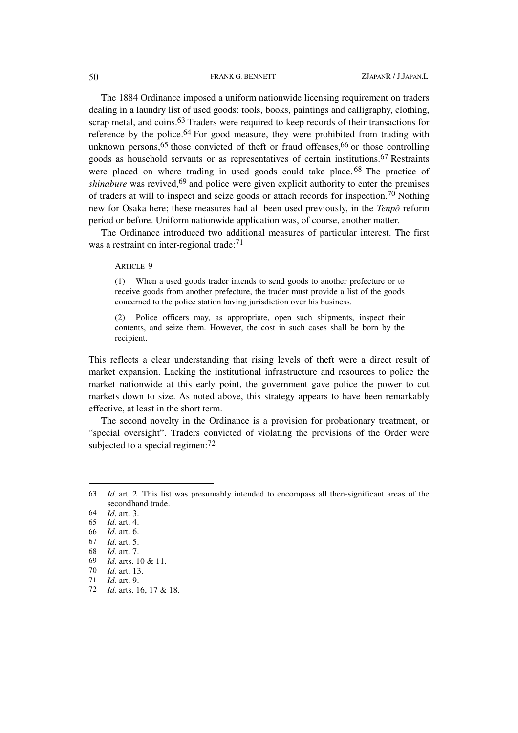The 1884 Ordinance imposed a uniform nationwide licensing requirement on traders dealing in a laundry list of used goods: tools, books, paintings and calligraphy, clothing, scrap metal, and coins.<sup>63</sup> Traders were required to keep records of their transactions for reference by the police.64 For good measure, they were prohibited from trading with unknown persons,  $65$  those convicted of theft or fraud offenses,  $66$  or those controlling goods as household servants or as representatives of certain institutions.67 Restraints were placed on where trading in used goods could take place.<sup>68</sup> The practice of *shinabure* was revived,<sup>69</sup> and police were given explicit authority to enter the premises of traders at will to inspect and seize goods or attach records for inspection.70 Nothing new for Osaka here; these measures had all been used previously, in the *Tenpô* reform period or before. Uniform nationwide application was, of course, another matter.

The Ordinance introduced two additional measures of particular interest. The first was a restraint on inter-regional trade:<sup>71</sup>

ARTICLE 9

(1) When a used goods trader intends to send goods to another prefecture or to receive goods from another prefecture, the trader must provide a list of the goods concerned to the police station having jurisdiction over his business.

Police officers may, as appropriate, open such shipments, inspect their contents, and seize them. However, the cost in such cases shall be born by the recipient.

This reflects a clear understanding that rising levels of theft were a direct result of market expansion. Lacking the institutional infrastructure and resources to police the market nationwide at this early point, the government gave police the power to cut markets down to size. As noted above, this strategy appears to have been remarkably effective, at least in the short term.

The second novelty in the Ordinance is a provision for probationary treatment, or "special oversight". Traders convicted of violating the provisions of the Order were subjected to a special regimen:<sup>72</sup>

<sup>63</sup> *Id.* art. 2. This list was presumably intended to encompass all then-significant areas of the secondhand trade.

<sup>64</sup> *Id*. art. 3.

<sup>65</sup> *Id.* art. 4.

<sup>66</sup> *Id.* art. 6.

<sup>67</sup> *Id*. art. 5.

<sup>68</sup> *Id.* art. 7.

<sup>69</sup> *Id*. arts. 10 & 11.

<sup>70</sup> *Id.* art. 13.

<sup>71</sup> *Id.* art. 9.

<sup>72</sup> *Id.* arts. 16, 17 & 18.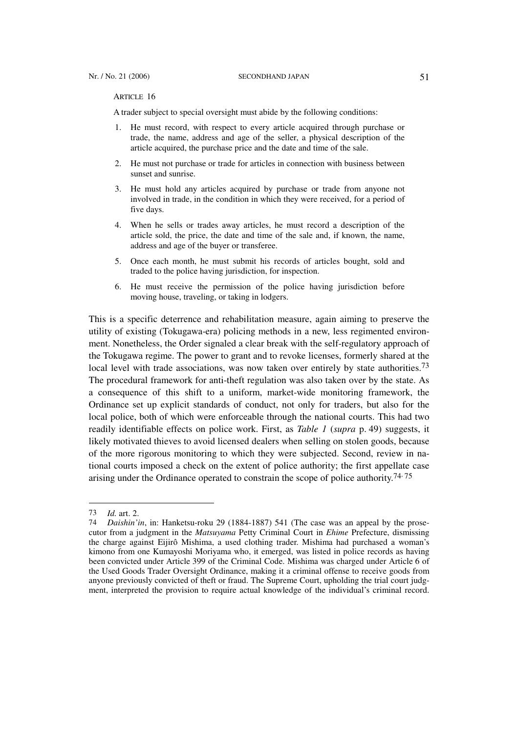ARTICLE 16

A trader subject to special oversight must abide by the following conditions:

- 1. He must record, with respect to every article acquired through purchase or trade, the name, address and age of the seller, a physical description of the article acquired, the purchase price and the date and time of the sale.
- 2. He must not purchase or trade for articles in connection with business between sunset and sunrise.
- 3. He must hold any articles acquired by purchase or trade from anyone not involved in trade, in the condition in which they were received, for a period of five days.
- 4. When he sells or trades away articles, he must record a description of the article sold, the price, the date and time of the sale and, if known, the name, address and age of the buyer or transferee.
- 5. Once each month, he must submit his records of articles bought, sold and traded to the police having jurisdiction, for inspection.
- 6. He must receive the permission of the police having jurisdiction before moving house, traveling, or taking in lodgers.

This is a specific deterrence and rehabilitation measure, again aiming to preserve the utility of existing (Tokugawa-era) policing methods in a new, less regimented environment. Nonetheless, the Order signaled a clear break with the self-regulatory approach of the Tokugawa regime. The power to grant and to revoke licenses, formerly shared at the local level with trade associations, was now taken over entirely by state authorities.<sup>73</sup> The procedural framework for anti-theft regulation was also taken over by the state. As a consequence of this shift to a uniform, market-wide monitoring framework, the Ordinance set up explicit standards of conduct, not only for traders, but also for the local police, both of which were enforceable through the national courts. This had two readily identifiable effects on police work. First, as *Table 1* (*supra* p. 49) suggests, it likely motivated thieves to avoid licensed dealers when selling on stolen goods, because of the more rigorous monitoring to which they were subjected. Second, review in national courts imposed a check on the extent of police authority; the first appellate case arising under the Ordinance operated to constrain the scope of police authority.<sup>74, 75</sup>

<sup>73</sup> *Id.* art. 2.

*Daishin'in*, in: Hanketsu-roku 29 (1884-1887) 541 (The case was an appeal by the prosecutor from a judgment in the *Matsuyama* Petty Criminal Court in *Ehime* Prefecture, dismissing the charge against Eijirô Mishima, a used clothing trader. Mishima had purchased a woman's kimono from one Kumayoshi Moriyama who, it emerged, was listed in police records as having been convicted under Article 399 of the Criminal Code. Mishima was charged under Article 6 of the Used Goods Trader Oversight Ordinance, making it a criminal offense to receive goods from anyone previously convicted of theft or fraud. The Supreme Court, upholding the trial court judgment, interpreted the provision to require actual knowledge of the individual's criminal record.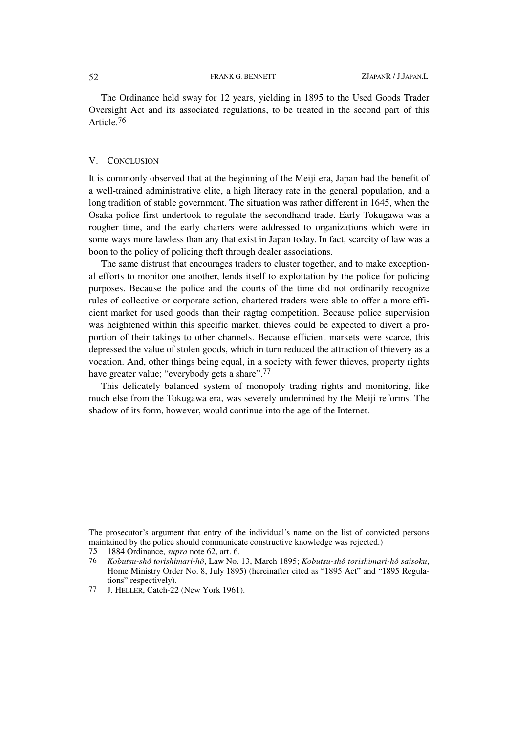The Ordinance held sway for 12 years, yielding in 1895 to the Used Goods Trader Oversight Act and its associated regulations, to be treated in the second part of this Article.76

## V. CONCLUSION

It is commonly observed that at the beginning of the Meiji era, Japan had the benefit of a well-trained administrative elite, a high literacy rate in the general population, and a long tradition of stable government. The situation was rather different in 1645, when the Osaka police first undertook to regulate the secondhand trade. Early Tokugawa was a rougher time, and the early charters were addressed to organizations which were in some ways more lawless than any that exist in Japan today. In fact, scarcity of law was a boon to the policy of policing theft through dealer associations.

The same distrust that encourages traders to cluster together, and to make exceptional efforts to monitor one another, lends itself to exploitation by the police for policing purposes. Because the police and the courts of the time did not ordinarily recognize rules of collective or corporate action, chartered traders were able to offer a more efficient market for used goods than their ragtag competition. Because police supervision was heightened within this specific market, thieves could be expected to divert a proportion of their takings to other channels. Because efficient markets were scarce, this depressed the value of stolen goods, which in turn reduced the attraction of thievery as a vocation. And, other things being equal, in a society with fewer thieves, property rights have greater value; "everybody gets a share".<sup>77</sup>

This delicately balanced system of monopoly trading rights and monitoring, like much else from the Tokugawa era, was severely undermined by the Meiji reforms. The shadow of its form, however, would continue into the age of the Internet.

The prosecutor's argument that entry of the individual's name on the list of convicted persons maintained by the police should communicate constructive knowledge was rejected.)<br>75 1884 Ordinance, *supra* note 62, art. 6.

<sup>75 1884</sup> Ordinance, *supra* note 62, art. 6.

<sup>76</sup> *Kobutsu-shô torishimari-hô*, Law No. 13, March 1895; *Kobutsu-shô torishimari-hô saisoku*, Home Ministry Order No. 8, July 1895) (hereinafter cited as "1895 Act" and "1895 Regulations" respectively).

<sup>77</sup> J. HELLER, Catch-22 (New York 1961).